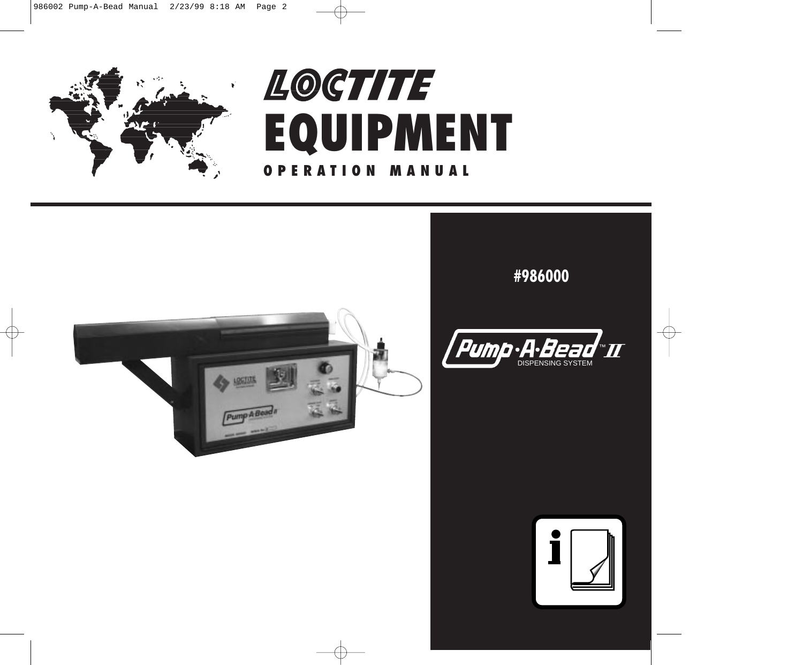

# **EQUIPMENT OPERATION MANUAL** LOCTITE®



### **#986000**



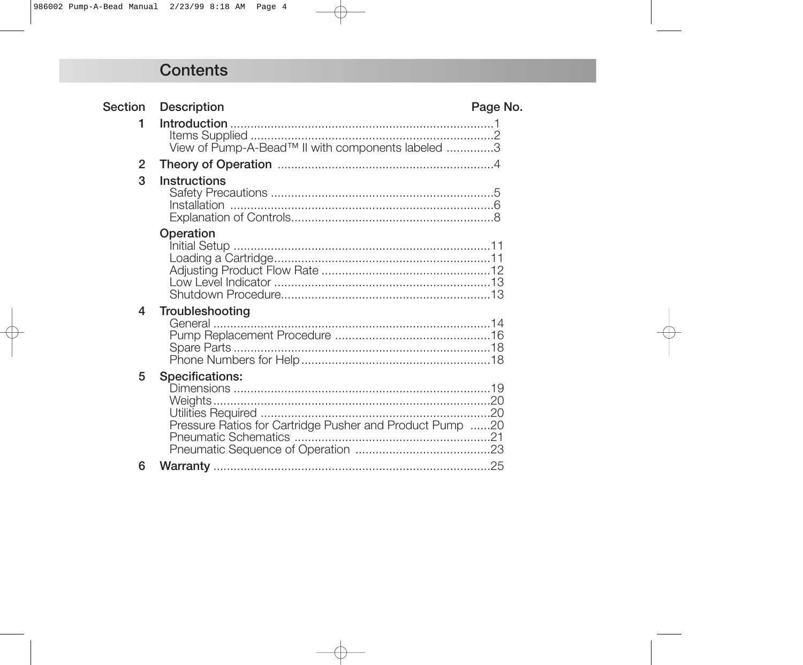### **Contents**

| <b>Section</b> | <b>Description</b>                                                                 | Page No. |
|----------------|------------------------------------------------------------------------------------|----------|
| 1              | View of Pump-A-Bead™ II with components labeled 3                                  |          |
| 2              |                                                                                    |          |
| 3              | <b>Instructions</b>                                                                |          |
|                | Operation                                                                          |          |
| 4              | Troubleshooting                                                                    |          |
| 5              | <b>Specifications:</b><br>Pressure Ratios for Cartridge Pusher and Product Pump 20 |          |
| 6              |                                                                                    |          |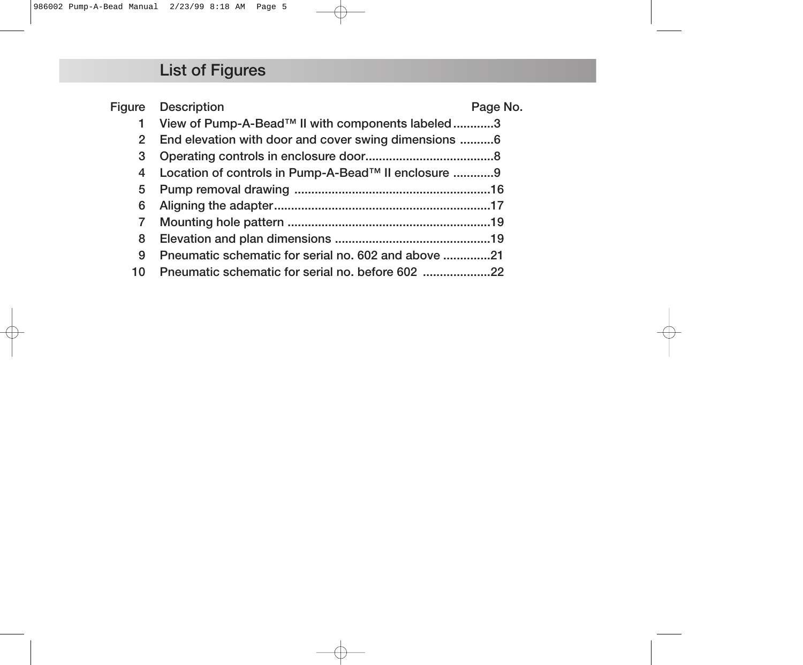## **List of Figures**

|                | <b>Figure</b> Description                           | Page No. |
|----------------|-----------------------------------------------------|----------|
| 1              | View of Pump-A-Bead™ II with components labeled3    |          |
| $\overline{2}$ |                                                     |          |
| 3              |                                                     |          |
| 4              | Location of controls in Pump-A-Bead™ II enclosure 9 |          |
| 5              |                                                     |          |
| 6              |                                                     |          |
| 7              |                                                     |          |
| 8              |                                                     |          |
| 9              | Pneumatic schematic for serial no. 602 and above 21 |          |
| 10             |                                                     |          |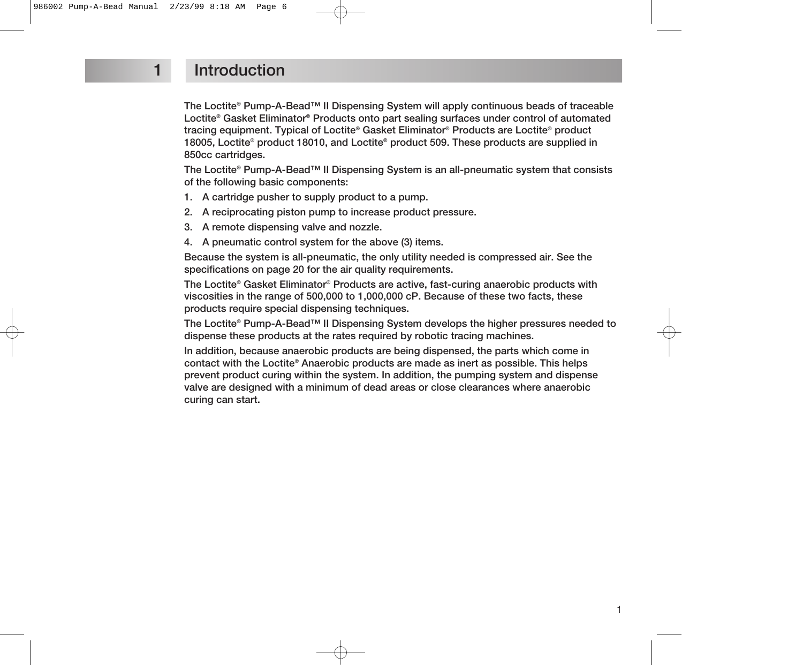### **1 Introduction**

**The Loctite® Pump-A-Bead™ II Dispensing System will apply continuous beads of traceable Loctite® Gasket Eliminator® Products onto part sealing surfaces under control of automated tracing equipment. Typical of Loctite® Gasket Eliminator® Products are Loctite® product 18005, Loctite® product 18010, and Loctite® product 509. These products are supplied in 850cc cartridges.**

**The Loctite® Pump-A-Bead™ II Dispensing System is an all-pneumatic system that consists of the following basic components:**

- **1. A cartridge pusher to supply product to a pump.**
- **2. A reciprocating piston pump to increase product pressure.**
- **3. A remote dispensing valve and nozzle.**
- **4. A pneumatic control system for the above (3) items.**

**Because the system is all-pneumatic, the only utility needed is compressed air. See the specifications on page 20 for the air quality requirements.**

**The Loctite® Gasket Eliminator® Products are active, fast-curing anaerobic products with viscosities in the range of 500,000 to 1,000,000 cP. Because of these two facts, these products require special dispensing techniques.**

**The Loctite® Pump-A-Bead™ II Dispensing System develops the higher pressures needed to dispense these products at the rates required by robotic tracing machines.**

**In addition, because anaerobic products are being dispensed, the parts which come in contact with the Loctite® Anaerobic products are made as inert as possible. This helps prevent product curing within the system. In addition, the pumping system and dispense valve are designed with a minimum of dead areas or close clearances where anaerobic curing can start.**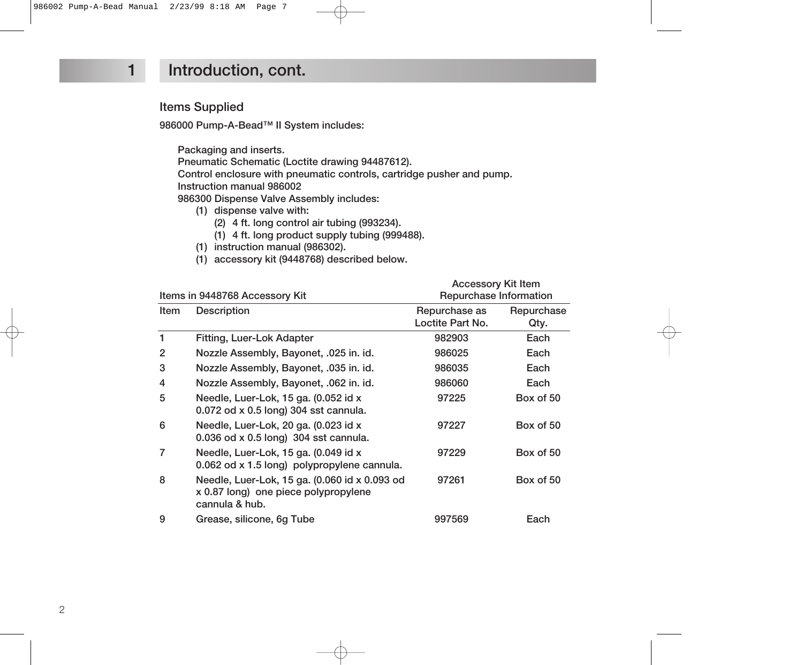#### **1 Introduction, cont.**

#### **Items Supplied**

**986000 Pump-A-Bead™ II System includes:**

**Packaging and inserts. Pneumatic Schematic (Loctite drawing 94487612).**

**Control enclosure with pneumatic controls, cartridge pusher and pump.**

**Instruction manual 986002**

**986300 Dispense Valve Assembly includes:**

- **(1) dispense valve with:**
	- **(2) 4 ft. long control air tubing (993234).**
	- **(1) 4 ft. long product supply tubing (999488).**
- **(1) instruction manual (986302).**
- **(1) accessory kit (9448768) described below.**

|                |                                                                                                         | <b>Accessory Kit Item</b>         |                    |
|----------------|---------------------------------------------------------------------------------------------------------|-----------------------------------|--------------------|
|                | Items in 9448768 Accessory Kit                                                                          | Repurchase Information            |                    |
| Item           | <b>Description</b>                                                                                      | Repurchase as<br>Loctite Part No. | Repurchase<br>Qty. |
| 1              | Fitting, Luer-Lok Adapter                                                                               | 982903                            | Each               |
| 2              | Nozzle Assembly, Bayonet, .025 in. id.                                                                  | 986025                            | Each               |
| 3              | Nozzle Assembly, Bayonet, .035 in. id.                                                                  | 986035                            | Each               |
| $\overline{4}$ | Nozzle Assembly, Bayonet, .062 in. id.                                                                  | 986060                            | Each               |
| 5              | Needle, Luer-Lok, 15 ga. (0.052 id x<br>0.072 od x 0.5 long) 304 sst cannula.                           | 97225                             | Box of 50          |
| 6              | Needle, Luer-Lok, 20 ga. (0.023 id x<br>0.036 od x 0.5 long) 304 sst cannula.                           | 97227                             | Box of 50          |
| $\overline{7}$ | Needle, Luer-Lok, 15 ga. (0.049 id x<br>0.062 od x 1.5 long) polypropylene cannula.                     | 97229                             | Box of 50          |
| 8              | Needle, Luer-Lok, 15 ga. (0.060 id x 0.093 od<br>x 0.87 long) one piece polypropylene<br>cannula & hub. | 97261                             | Box of 50          |
| 9              | Grease, silicone, 6g Tube                                                                               | 997569                            | Each               |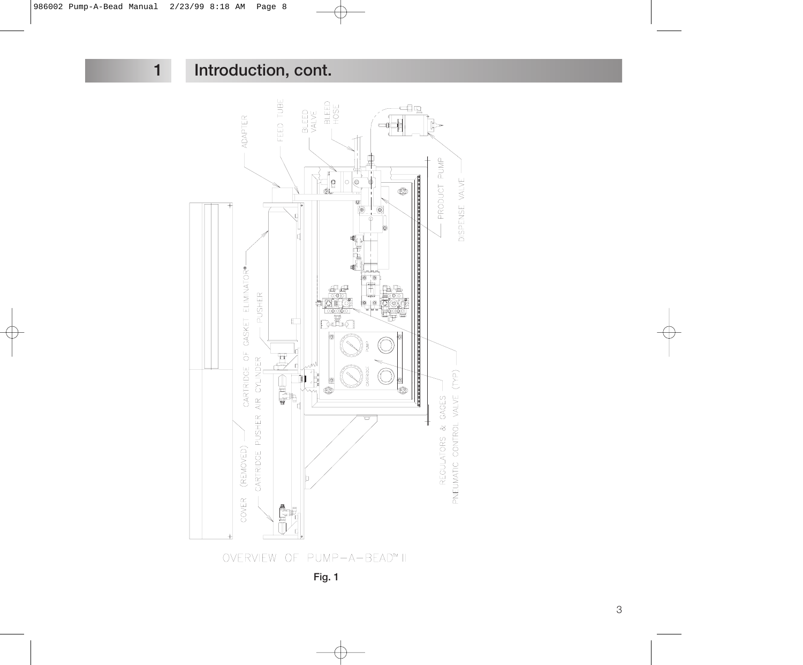**Introduction, cont.**



**Fig. 1**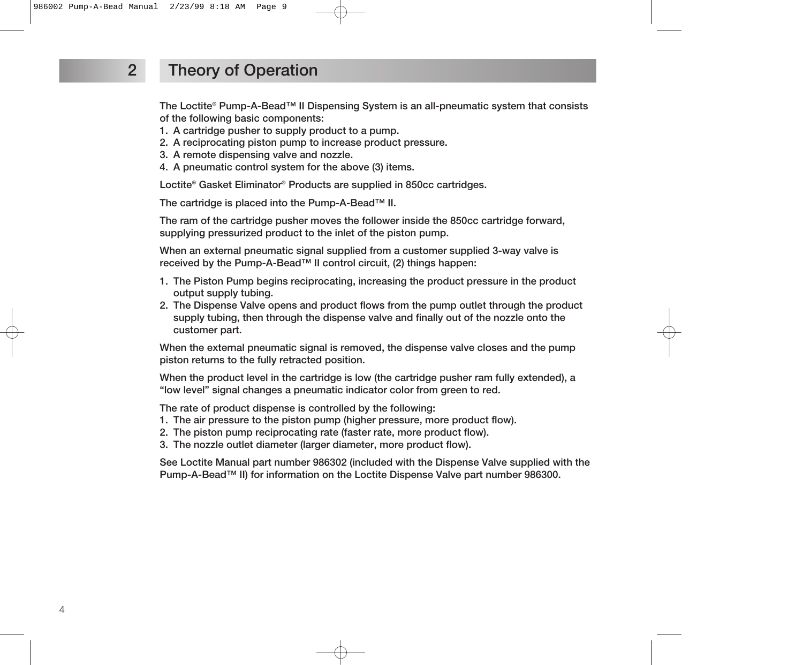### **2 Theory of Operation**

**The Loctite® Pump-A-Bead™ II Dispensing System is an all-pneumatic system that consists of the following basic components:**

- **1. A cartridge pusher to supply product to a pump.**
- **2. A reciprocating piston pump to increase product pressure.**
- **3. A remote dispensing valve and nozzle.**
- **4. A pneumatic control system for the above (3) items.**

**Loctite® Gasket Eliminator® Products are supplied in 850cc cartridges.**

**The cartridge is placed into the Pump-A-Bead™ II.**

**The ram of the cartridge pusher moves the follower inside the 850cc cartridge forward, supplying pressurized product to the inlet of the piston pump.**

**When an external pneumatic signal supplied from a customer supplied 3-way valve is received by the Pump-A-Bead™ II control circuit, (2) things happen:**

- **1. The Piston Pump begins reciprocating, increasing the product pressure in the product output supply tubing.**
- **2. The Dispense Valve opens and product flows from the pump outlet through the product supply tubing, then through the dispense valve and finally out of the nozzle onto the customer part.**

**When the external pneumatic signal is removed, the dispense valve closes and the pump piston returns to the fully retracted position.**

**When the product level in the cartridge is low (the cartridge pusher ram fully extended), a "low level" signal changes a pneumatic indicator color from green to red.**

**The rate of product dispense is controlled by the following:**

- **1. The air pressure to the piston pump (higher pressure, more product flow).**
- **2. The piston pump reciprocating rate (faster rate, more product flow).**
- **3. The nozzle outlet diameter (larger diameter, more product flow).**

**See Loctite Manual part number 986302 (included with the Dispense Valve supplied with the Pump-A-Bead™ II) for information on the Loctite Dispense Valve part number 986300.**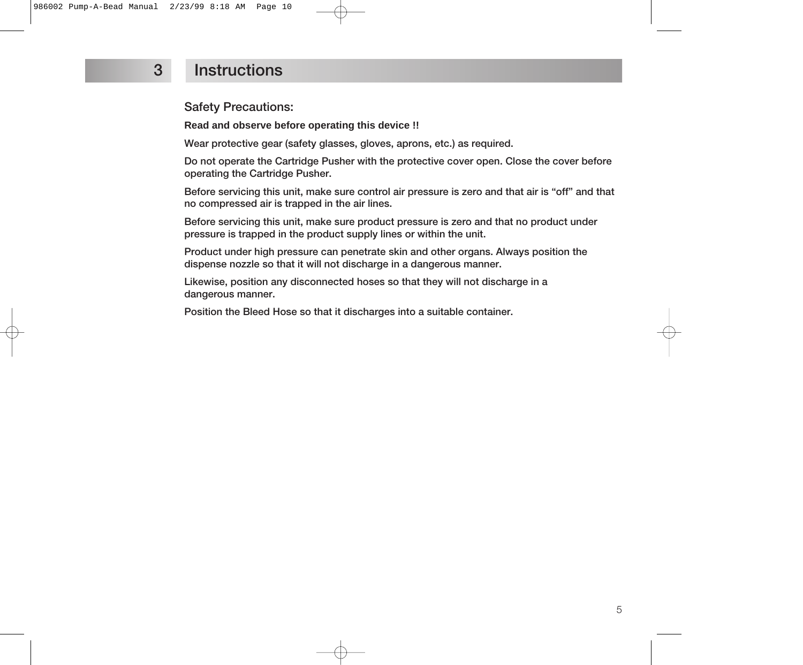### **3 Instructions**

**Safety Precautions:**

**Read and observe before operating this device !!**

**Wear protective gear (safety glasses, gloves, aprons, etc.) as required.**

**Do not operate the Cartridge Pusher with the protective cover open. Close the cover before operating the Cartridge Pusher.**

**Before servicing this unit, make sure control air pressure is zero and that air is "off" and that no compressed air is trapped in the air lines.**

**Before servicing this unit, make sure product pressure is zero and that no product under pressure is trapped in the product supply lines or within the unit.**

**Product under high pressure can penetrate skin and other organs. Always position the dispense nozzle so that it will not discharge in a dangerous manner.**

**Likewise, position any disconnected hoses so that they will not discharge in a dangerous manner.**

**Position the Bleed Hose so that it discharges into a suitable container.**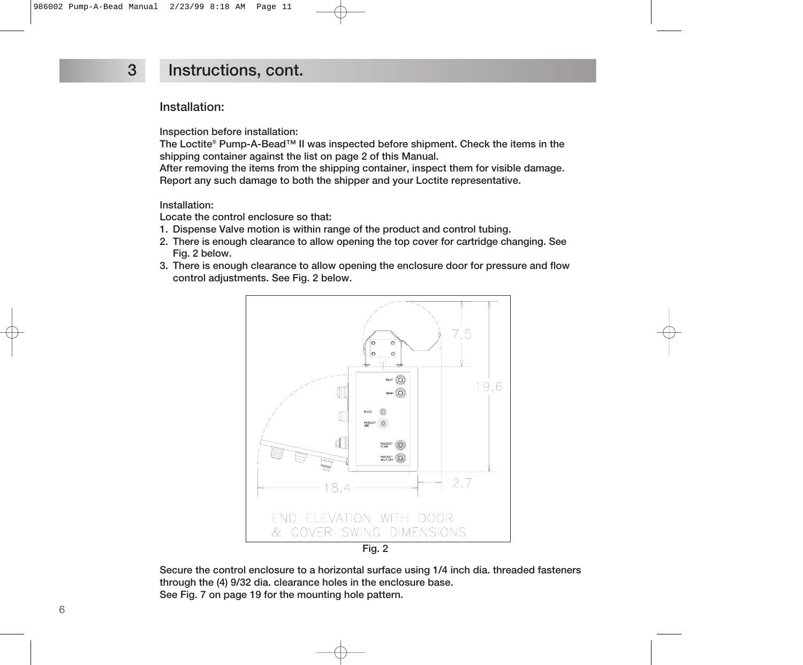**Installation:**

**Inspection before installation:**

**The Loctite® Pump-A-Bead™ II was inspected before shipment. Check the items in the shipping container against the list on page 2 of this Manual.**

**After removing the items from the shipping container, inspect them for visible damage. Report any such damage to both the shipper and your Loctite representative.**

**Installation:**

**Locate the control enclosure so that:**

- **1. Dispense Valve motion is within range of the product and control tubing.**
- **2. There is enough clearance to allow opening the top cover for cartridge changing. See Fig. 2 below.**
- **3. There is enough clearance to allow opening the enclosure door for pressure and flow control adjustments. See Fig. 2 below.**



**Secure the control enclosure to a horizontal surface using 1/4 inch dia. threaded fasteners through the (4) 9/32 dia. clearance holes in the enclosure base. See Fig. 7 on page 19 for the mounting hole pattern.**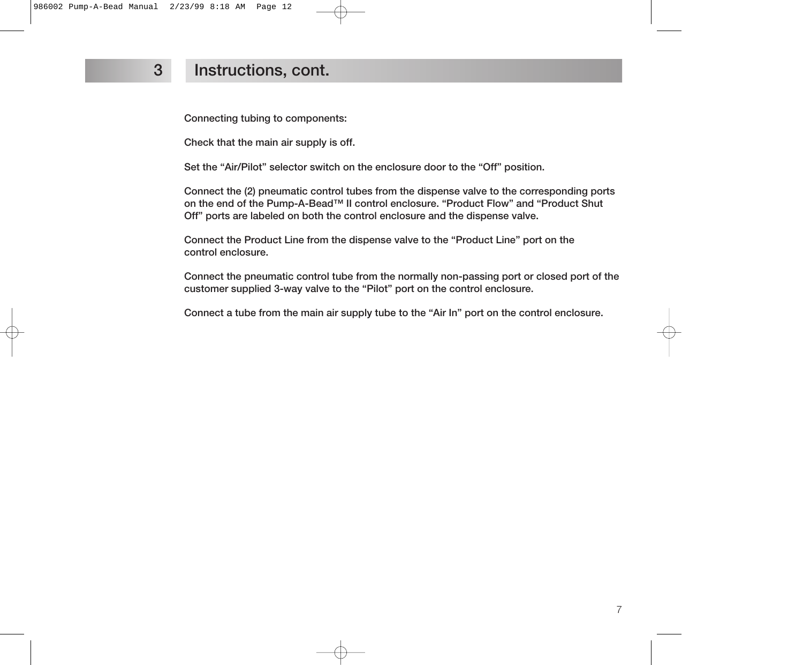**Connecting tubing to components:**

**Check that the main air supply is off.**

**Set the "Air/Pilot" selector switch on the enclosure door to the "Off" position.**

**Connect the (2) pneumatic control tubes from the dispense valve to the corresponding ports on the end of the Pump-A-Bead™ II control enclosure. "Product Flow" and "Product Shut Off" ports are labeled on both the control enclosure and the dispense valve.**

**Connect the Product Line from the dispense valve to the "Product Line" port on the control enclosure.**

**Connect the pneumatic control tube from the normally non-passing port or closed port of the customer supplied 3-way valve to the "Pilot" port on the control enclosure.**

**Connect a tube from the main air supply tube to the "Air In" port on the control enclosure.**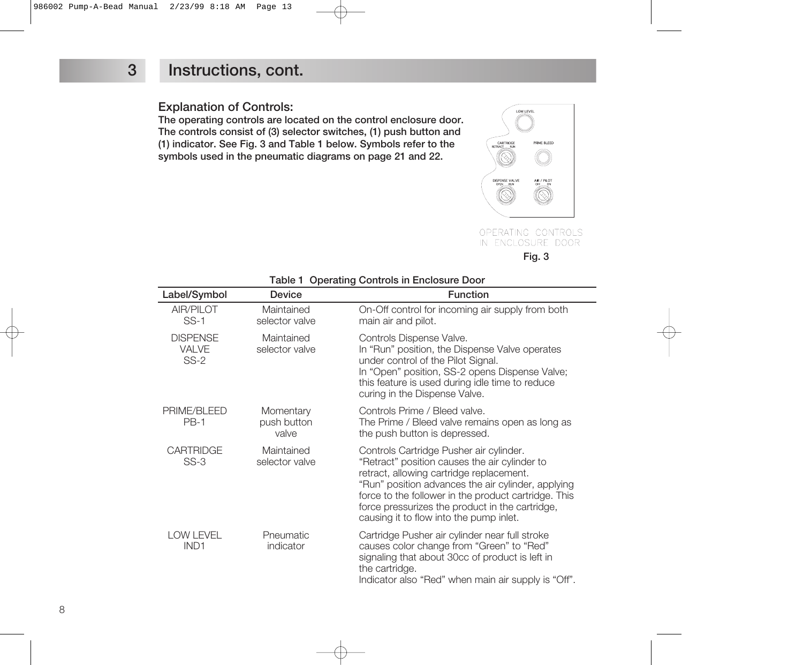#### **Explanation of Controls:**

**The operating controls are located on the control enclosure door. The controls consist of (3) selector switches, (1) push button and (1) indicator. See Fig. 3 and Table 1 below. Symbols refer to the symbols used in the pneumatic diagrams on page 21 and 22.**



OPERATING CONTROLS IN ENCLOSURE DOOR **Fig. 3**

| Label/Symbol                              | <b>Device</b>                     | <b>Function</b>                                                                                                                                                                                                                                                                                                                                  |
|-------------------------------------------|-----------------------------------|--------------------------------------------------------------------------------------------------------------------------------------------------------------------------------------------------------------------------------------------------------------------------------------------------------------------------------------------------|
| AIR/PILOT<br>$SS-1$                       | Maintained<br>selector valve      | On-Off control for incoming air supply from both<br>main air and pilot.                                                                                                                                                                                                                                                                          |
| <b>DISPENSE</b><br><b>VALVE</b><br>$SS-2$ | Maintained<br>selector valve      | Controls Dispense Valve.<br>In "Run" position, the Dispense Valve operates<br>under control of the Pilot Signal.<br>In "Open" position, SS-2 opens Dispense Valve;<br>this feature is used during idle time to reduce<br>curing in the Dispense Valve.                                                                                           |
| PRIME/BLEED<br><b>PB-1</b>                | Momentary<br>push button<br>valve | Controls Prime / Bleed valve.<br>The Prime / Bleed valve remains open as long as<br>the push button is depressed.                                                                                                                                                                                                                                |
| <b>CARTRIDGE</b><br>$SS-3$                | Maintained<br>selector valve      | Controls Cartridge Pusher air cylinder.<br>"Retract" position causes the air cylinder to<br>retract, allowing cartridge replacement.<br>"Run" position advances the air cylinder, applying<br>force to the follower in the product cartridge. This<br>force pressurizes the product in the cartridge,<br>causing it to flow into the pump inlet. |
| <b>LOW LEVEL</b><br>IND <sub>1</sub>      | Pneumatic<br>indicator            | Cartridge Pusher air cylinder near full stroke<br>causes color change from "Green" to "Red"<br>signaling that about 30cc of product is left in<br>the cartridge.<br>Indicator also "Red" when main air supply is "Off".                                                                                                                          |

#### **Table 1 Operating Controls in Enclosure Door**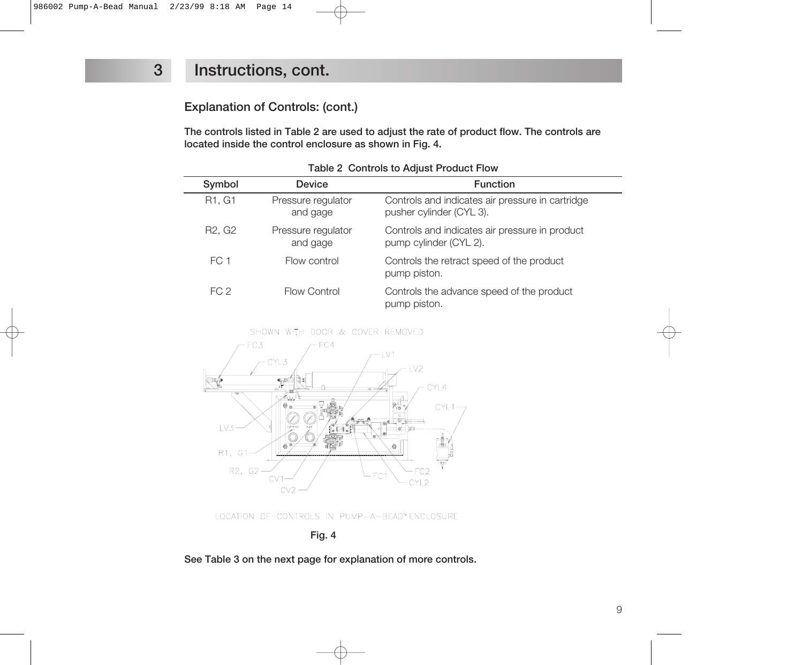#### **Explanation of Controls: (cont.)**

**The controls listed in Table 2 are used to adjust the rate of product flow. The controls are located inside the control enclosure as shown in Fig. 4.**

| Symbol                          | <b>Device</b>                  | <b>Function</b>                                                              |
|---------------------------------|--------------------------------|------------------------------------------------------------------------------|
| R1, G1                          | Pressure regulator<br>and gage | Controls and indicates air pressure in cartridge<br>pusher cylinder (CYL 3). |
| R <sub>2</sub> , G <sub>2</sub> | Pressure regulator<br>and gage | Controls and indicates air pressure in product<br>pump cylinder (CYL 2).     |
| FC 1                            | Flow control                   | Controls the retract speed of the product<br>pump piston.                    |
| FC 2                            | Flow Control                   | Controls the advance speed of the product<br>pump piston.                    |

**Table 2 Controls to Adjust Product Flow**



LOCATION OF CONTROLS IN PUMP-A-BEAD™ ENCLOSURE

**Fig. 4**

**See Table 3 on the next page for explanation of more controls.**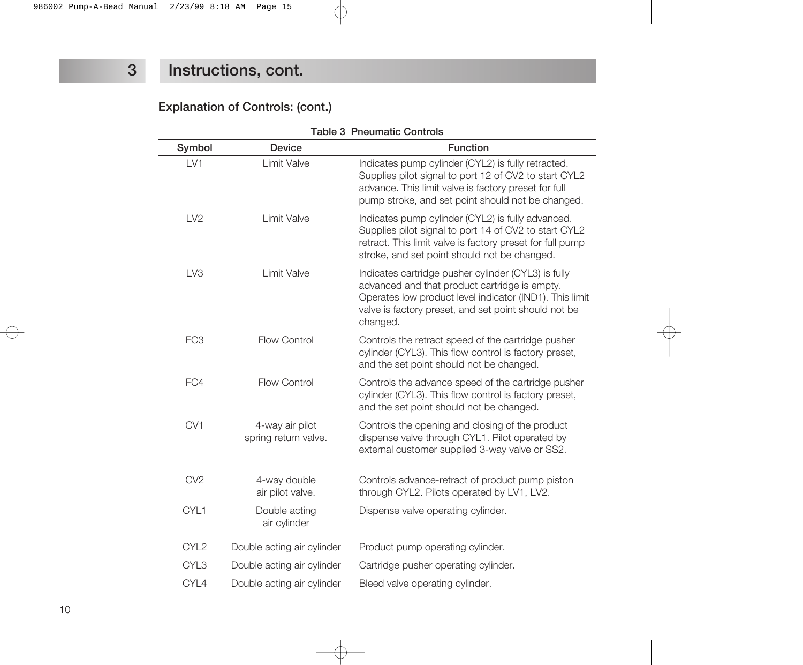#### **Explanation of Controls: (cont.)**

| <b>Table 3 Pneumatic Controls</b> |                                         |                                                                                                                                                                                                                                     |  |  |  |
|-----------------------------------|-----------------------------------------|-------------------------------------------------------------------------------------------------------------------------------------------------------------------------------------------------------------------------------------|--|--|--|
| Symbol                            | <b>Device</b>                           | <b>Function</b>                                                                                                                                                                                                                     |  |  |  |
| LV1                               | Limit Valve                             | Indicates pump cylinder (CYL2) is fully retracted.<br>Supplies pilot signal to port 12 of CV2 to start CYL2<br>advance. This limit valve is factory preset for full<br>pump stroke, and set point should not be changed.            |  |  |  |
| LV2                               | Limit Valve                             | Indicates pump cylinder (CYL2) is fully advanced.<br>Supplies pilot signal to port 14 of CV2 to start CYL2<br>retract. This limit valve is factory preset for full pump<br>stroke, and set point should not be changed.             |  |  |  |
| LV <sub>3</sub>                   | Limit Valve                             | Indicates cartridge pusher cylinder (CYL3) is fully<br>advanced and that product cartridge is empty.<br>Operates low product level indicator (IND1). This limit<br>valve is factory preset, and set point should not be<br>changed. |  |  |  |
| FC <sub>3</sub>                   | <b>Flow Control</b>                     | Controls the retract speed of the cartridge pusher<br>cylinder (CYL3). This flow control is factory preset,<br>and the set point should not be changed.                                                                             |  |  |  |
| FC4                               | <b>Flow Control</b>                     | Controls the advance speed of the cartridge pusher<br>cylinder (CYL3). This flow control is factory preset,<br>and the set point should not be changed.                                                                             |  |  |  |
| CV1                               | 4-way air pilot<br>spring return valve. | Controls the opening and closing of the product<br>dispense valve through CYL1. Pilot operated by<br>external customer supplied 3-way valve or SS2.                                                                                 |  |  |  |
| CV <sub>2</sub>                   | 4-way double<br>air pilot valve.        | Controls advance-retract of product pump piston<br>through CYL2. Pilots operated by LV1, LV2.                                                                                                                                       |  |  |  |
| CYL1                              | Double acting<br>air cylinder           | Dispense valve operating cylinder.                                                                                                                                                                                                  |  |  |  |
| CYL <sub>2</sub>                  | Double acting air cylinder              | Product pump operating cylinder.                                                                                                                                                                                                    |  |  |  |
| CYL <sub>3</sub>                  | Double acting air cylinder              | Cartridge pusher operating cylinder.                                                                                                                                                                                                |  |  |  |
| CYL4                              | Double acting air cylinder              | Bleed valve operating cylinder.                                                                                                                                                                                                     |  |  |  |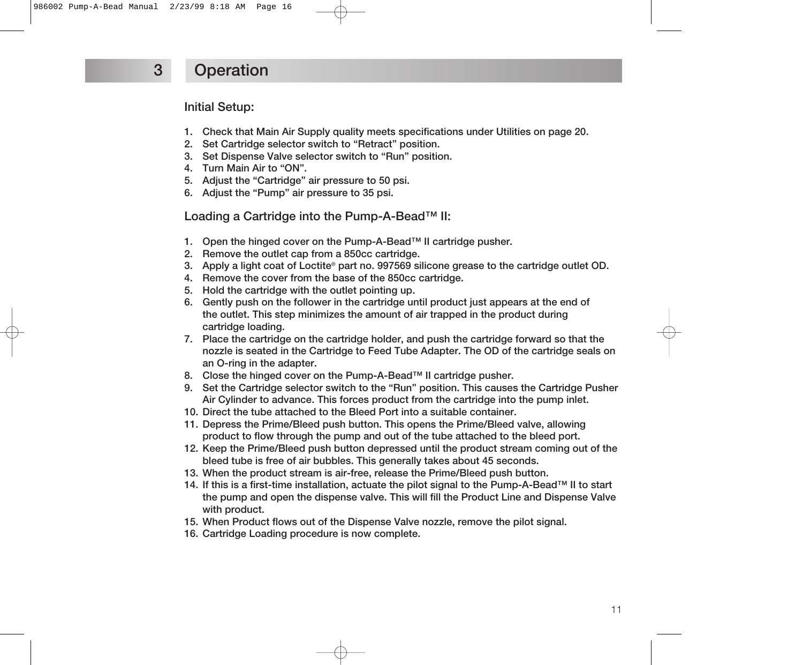#### **Initial Setup:**

- **1. Check that Main Air Supply quality meets specifications under Utilities on page 20.**
- **2. Set Cartridge selector switch to "Retract" position.**
- **3. Set Dispense Valve selector switch to "Run" position.**
- **4. Turn Main Air to "ON".**
- **5. Adjust the "Cartridge" air pressure to 50 psi.**
- **6. Adjust the "Pump" air pressure to 35 psi.**

**Loading a Cartridge into the Pump-A-Bead™ II:**

- **1. Open the hinged cover on the Pump-A-Bead™ II cartridge pusher.**
- **2. Remove the outlet cap from a 850cc cartridge.**
- **3. Apply a light coat of Loctite® part no. 997569 silicone grease to the cartridge outlet OD.**
- **4. Remove the cover from the base of the 850cc cartridge.**
- **5. Hold the cartridge with the outlet pointing up.**
- **6. Gently push on the follower in the cartridge until product just appears at the end of the outlet. This step minimizes the amount of air trapped in the product during cartridge loading.**
- **7. Place the cartridge on the cartridge holder, and push the cartridge forward so that the nozzle is seated in the Cartridge to Feed Tube Adapter. The OD of the cartridge seals on an O-ring in the adapter.**
- **8. Close the hinged cover on the Pump-A-Bead™ II cartridge pusher.**
- **9. Set the Cartridge selector switch to the "Run" position. This causes the Cartridge Pusher Air Cylinder to advance. This forces product from the cartridge into the pump inlet.**
- **10. Direct the tube attached to the Bleed Port into a suitable container.**
- **11. Depress the Prime/Bleed push button. This opens the Prime/Bleed valve, allowing product to flow through the pump and out of the tube attached to the bleed port.**
- **12. Keep the Prime/Bleed push button depressed until the product stream coming out of the bleed tube is free of air bubbles. This generally takes about 45 seconds.**
- **13. When the product stream is air-free, release the Prime/Bleed push button.**
- **14. If this is a first-time installation, actuate the pilot signal to the Pump-A-Bead™ II to start the pump and open the dispense valve. This will fill the Product Line and Dispense Valve with product.**
- **15. When Product flows out of the Dispense Valve nozzle, remove the pilot signal.**
- **16. Cartridge Loading procedure is now complete.**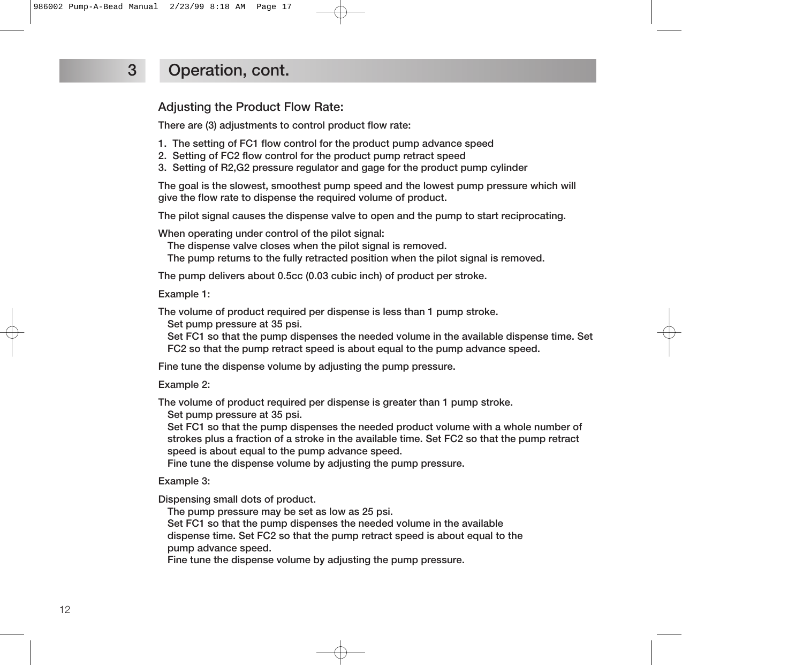### **3 Operation, cont.**

**Adjusting the Product Flow Rate:**

**There are (3) adjustments to control product flow rate:**

- **1. The setting of FC1 flow control for the product pump advance speed**
- **2. Setting of FC2 flow control for the product pump retract speed**
- **3. Setting of R2,G2 pressure regulator and gage for the product pump cylinder**

**The goal is the slowest, smoothest pump speed and the lowest pump pressure which will give the flow rate to dispense the required volume of product.**

**The pilot signal causes the dispense valve to open and the pump to start reciprocating.**

**When operating under control of the pilot signal:**

**The dispense valve closes when the pilot signal is removed.**

**The pump returns to the fully retracted position when the pilot signal is removed.**

**The pump delivers about 0.5cc (0.03 cubic inch) of product per stroke.**

**Example 1:**

**The volume of product required per dispense is less than 1 pump stroke.**

**Set pump pressure at 35 psi.**

**Set FC1 so that the pump dispenses the needed volume in the available dispense time. Set FC2 so that the pump retract speed is about equal to the pump advance speed.**

**Fine tune the dispense volume by adjusting the pump pressure.**

**Example 2:**

**The volume of product required per dispense is greater than 1 pump stroke.**

**Set pump pressure at 35 psi.**

**Set FC1 so that the pump dispenses the needed product volume with a whole number of strokes plus a fraction of a stroke in the available time. Set FC2 so that the pump retract speed is about equal to the pump advance speed.**

**Fine tune the dispense volume by adjusting the pump pressure.**

**Example 3:**

**Dispensing small dots of product.**

**The pump pressure may be set as low as 25 psi.**

**Set FC1 so that the pump dispenses the needed volume in the available dispense time. Set FC2 so that the pump retract speed is about equal to the pump advance speed.**

**Fine tune the dispense volume by adjusting the pump pressure.**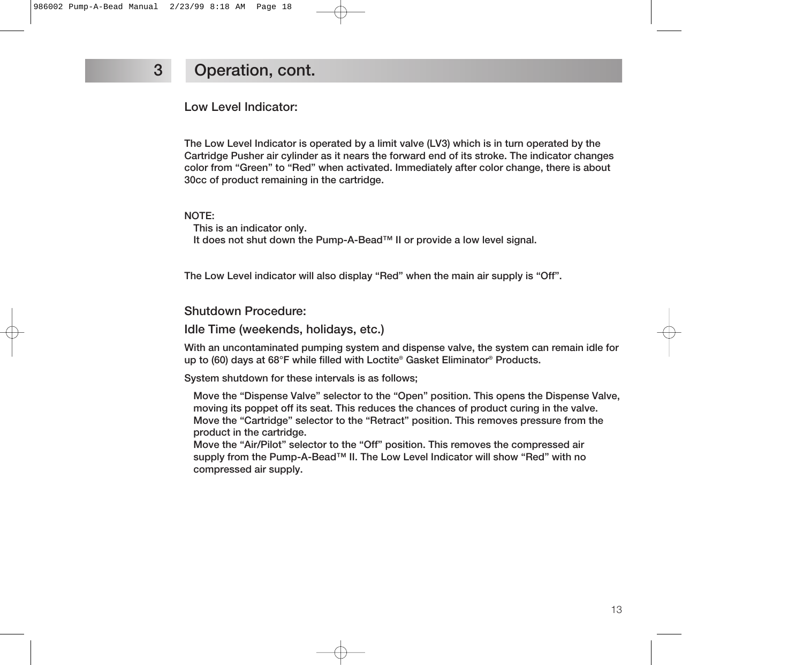### **3 Operation, cont.**

**Low Level Indicator:**

**The Low Level Indicator is operated by a limit valve (LV3) which is in turn operated by the Cartridge Pusher air cylinder as it nears the forward end of its stroke. The indicator changes color from "Green" to "Red" when activated. Immediately after color change, there is about 30cc of product remaining in the cartridge.**

#### **NOTE:**

**This is an indicator only. It does not shut down the Pump-A-Bead™ II or provide a low level signal.**

**The Low Level indicator will also display "Red" when the main air supply is "Off".** 

**Shutdown Procedure:**

**Idle Time (weekends, holidays, etc.)**

**With an uncontaminated pumping system and dispense valve, the system can remain idle for up to (60) days at 68°F while filled with Loctite® Gasket Eliminator® Products.**

**System shutdown for these intervals is as follows;**

**Move the "Dispense Valve" selector to the "Open" position. This opens the Dispense Valve, moving its poppet off its seat. This reduces the chances of product curing in the valve. Move the "Cartridge" selector to the "Retract" position. This removes pressure from the product in the cartridge.**

**Move the "Air/Pilot" selector to the "Off" position. This removes the compressed air supply from the Pump-A-Bead™ II. The Low Level Indicator will show "Red" with no compressed air supply.**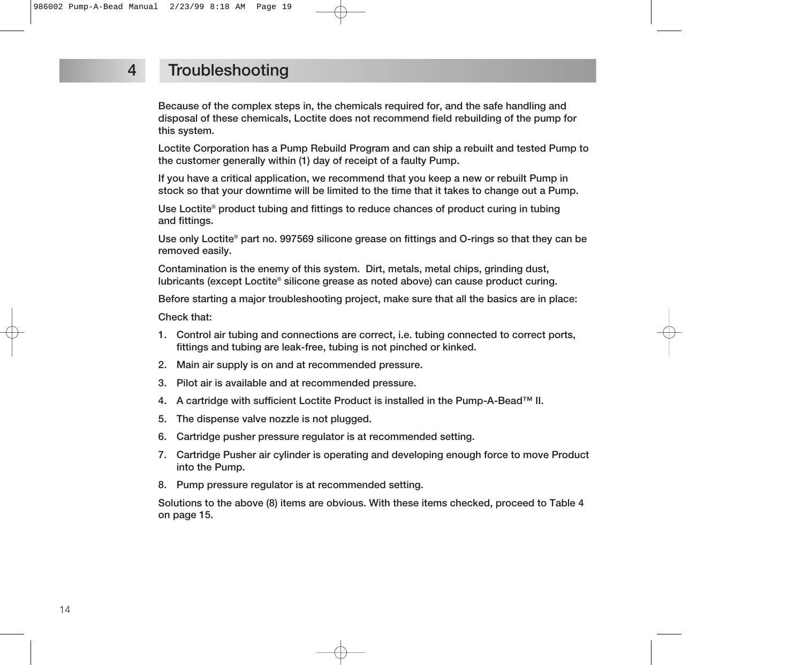#### **4 Troubleshooting**

**Because of the complex steps in, the chemicals required for, and the safe handling and disposal of these chemicals, Loctite does not recommend field rebuilding of the pump for this system.**

**Loctite Corporation has a Pump Rebuild Program and can ship a rebuilt and tested Pump to the customer generally within (1) day of receipt of a faulty Pump.**

**If you have a critical application, we recommend that you keep a new or rebuilt Pump in stock so that your downtime will be limited to the time that it takes to change out a Pump.**

**Use Loctite® product tubing and fittings to reduce chances of product curing in tubing and fittings.**

**Use only Loctite® part no. 997569 silicone grease on fittings and O-rings so that they can be removed easily.**

**Contamination is the enemy of this system. Dirt, metals, metal chips, grinding dust, lubricants (except Loctite® silicone grease as noted above) can cause product curing.**

**Before starting a major troubleshooting project, make sure that all the basics are in place:**

**Check that:**

- **1. Control air tubing and connections are correct, i.e. tubing connected to correct ports, fittings and tubing are leak-free, tubing is not pinched or kinked.**
- **2. Main air supply is on and at recommended pressure.**
- **3. Pilot air is available and at recommended pressure.**
- **4. A cartridge with sufficient Loctite Product is installed in the Pump-A-Bead™ II.**
- **5. The dispense valve nozzle is not plugged.**
- **6. Cartridge pusher pressure regulator is at recommended setting.**
- **7. Cartridge Pusher air cylinder is operating and developing enough force to move Product into the Pump.**
- **8. Pump pressure regulator is at recommended setting.**

**Solutions to the above (8) items are obvious. With these items checked, proceed to Table 4 on page 15.**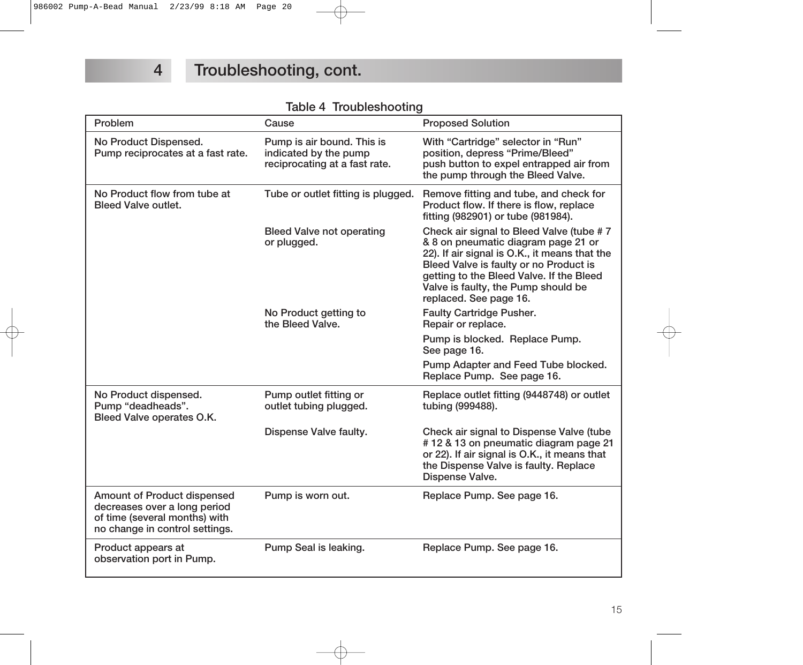|  | Table 4 Troubleshooting |  |
|--|-------------------------|--|
|--|-------------------------|--|

| Problem                                                                                                                               | Cause                                                                                | <b>Proposed Solution</b>                                                                                                                                                                                                                                                                |
|---------------------------------------------------------------------------------------------------------------------------------------|--------------------------------------------------------------------------------------|-----------------------------------------------------------------------------------------------------------------------------------------------------------------------------------------------------------------------------------------------------------------------------------------|
| No Product Dispensed.<br>Pump reciprocates at a fast rate.                                                                            | Pump is air bound. This is<br>indicated by the pump<br>reciprocating at a fast rate. | With "Cartridge" selector in "Run"<br>position, depress "Prime/Bleed"<br>push button to expel entrapped air from<br>the pump through the Bleed Valve.                                                                                                                                   |
| No Product flow from tube at<br><b>Bleed Valve outlet.</b>                                                                            | Tube or outlet fitting is plugged.                                                   | Remove fitting and tube, and check for<br>Product flow. If there is flow, replace<br>fitting (982901) or tube (981984).                                                                                                                                                                 |
|                                                                                                                                       | <b>Bleed Valve not operating</b><br>or plugged.                                      | Check air signal to Bleed Valve (tube #7<br>& 8 on pneumatic diagram page 21 or<br>22). If air signal is O.K., it means that the<br>Bleed Valve is faulty or no Product is<br>getting to the Bleed Valve. If the Bleed<br>Valve is faulty, the Pump should be<br>replaced. See page 16. |
|                                                                                                                                       | No Product getting to<br>the Bleed Valve.                                            | <b>Faulty Cartridge Pusher.</b><br>Repair or replace.                                                                                                                                                                                                                                   |
|                                                                                                                                       |                                                                                      | Pump is blocked. Replace Pump.<br>See page 16.                                                                                                                                                                                                                                          |
|                                                                                                                                       |                                                                                      | Pump Adapter and Feed Tube blocked.<br>Replace Pump. See page 16.                                                                                                                                                                                                                       |
| No Product dispensed.<br>Pump "deadheads".<br>Bleed Valve operates O.K.                                                               | Pump outlet fitting or<br>outlet tubing plugged.                                     | Replace outlet fitting (9448748) or outlet<br>tubing (999488).                                                                                                                                                                                                                          |
|                                                                                                                                       | Dispense Valve faulty.                                                               | Check air signal to Dispense Valve (tube<br>#12 & 13 on pneumatic diagram page 21<br>or 22). If air signal is O.K., it means that<br>the Dispense Valve is faulty. Replace<br>Dispense Valve.                                                                                           |
| <b>Amount of Product dispensed</b><br>decreases over a long period<br>of time (several months) with<br>no change in control settings. | Pump is worn out.                                                                    | Replace Pump. See page 16.                                                                                                                                                                                                                                                              |
| Product appears at<br>observation port in Pump.                                                                                       | Pump Seal is leaking.                                                                | Replace Pump. See page 16.                                                                                                                                                                                                                                                              |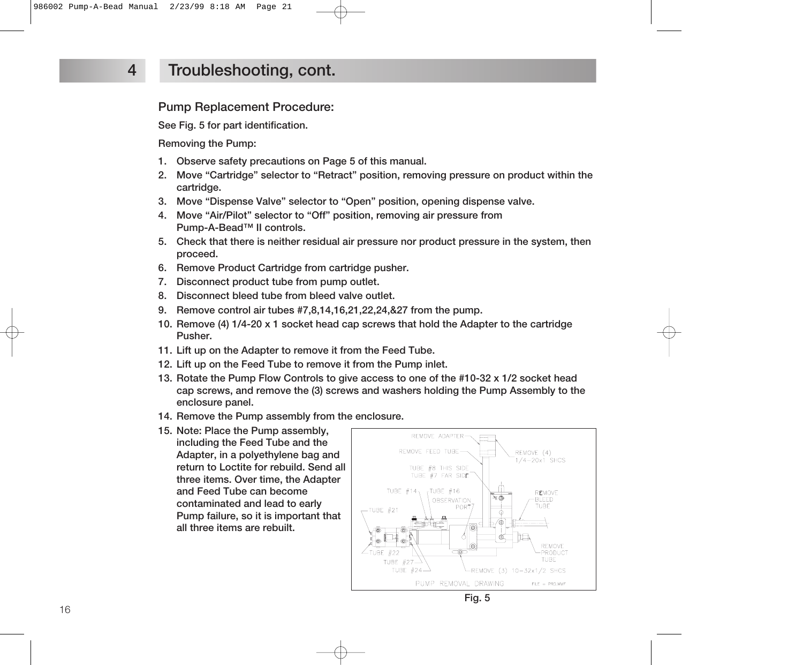#### **4 Troubleshooting, cont.**

**Pump Replacement Procedure:**

**See Fig. 5 for part identification.**

**Removing the Pump:**

- **1. Observe safety precautions on Page 5 of this manual.**
- **2. Move "Cartridge" selector to "Retract" position, removing pressure on product within the cartridge.**
- **3. Move "Dispense Valve" selector to "Open" position, opening dispense valve.**
- **4. Move "Air/Pilot" selector to "Off" position, removing air pressure from Pump-A-Bead™ II controls.**
- **5. Check that there is neither residual air pressure nor product pressure in the system, then proceed.**
- **6. Remove Product Cartridge from cartridge pusher.**
- **7. Disconnect product tube from pump outlet.**
- **8. Disconnect bleed tube from bleed valve outlet.**
- **9. Remove control air tubes #7,8,14,16,21,22,24,&27 from the pump.**
- **10. Remove (4) 1/4-20 x 1 socket head cap screws that hold the Adapter to the cartridge Pusher.**
- **11. Lift up on the Adapter to remove it from the Feed Tube.**
- **12. Lift up on the Feed Tube to remove it from the Pump inlet.**
- **13. Rotate the Pump Flow Controls to give access to one of the #10-32 x 1/2 socket head cap screws, and remove the (3) screws and washers holding the Pump Assembly to the enclosure panel.**
- **14. Remove the Pump assembly from the enclosure.**
- **15. Note: Place the Pump assembly, including the Feed Tube and the Adapter, in a polyethylene bag and return to Loctite for rebuild. Send all three items. Over time, the Adapter and Feed Tube can become contaminated and lead to early Pump failure, so it is important that all three items are rebuilt.**



**Fig. 5**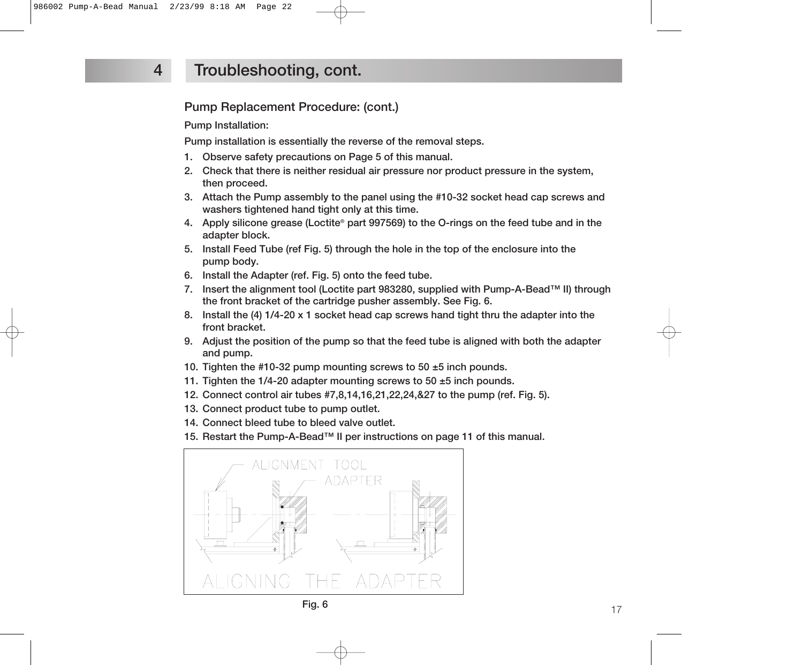### **4 Troubleshooting, cont.**

#### **Pump Replacement Procedure: (cont.)**

**Pump Installation:**

**Pump installation is essentially the reverse of the removal steps.**

- **1. Observe safety precautions on Page 5 of this manual.**
- **2. Check that there is neither residual air pressure nor product pressure in the system, then proceed.**
- **3. Attach the Pump assembly to the panel using the #10-32 socket head cap screws and washers tightened hand tight only at this time.**
- **4. Apply silicone grease (Loctite® part 997569) to the O-rings on the feed tube and in the adapter block.**
- **5. Install Feed Tube (ref Fig. 5) through the hole in the top of the enclosure into the pump body.**
- **6. Install the Adapter (ref. Fig. 5) onto the feed tube.**
- **7. Insert the alignment tool (Loctite part 983280, supplied with Pump-A-Bead™ II) through the front bracket of the cartridge pusher assembly. See Fig. 6.**
- **8. Install the (4) 1/4-20 x 1 socket head cap screws hand tight thru the adapter into the front bracket.**
- **9. Adjust the position of the pump so that the feed tube is aligned with both the adapter and pump.**
- **10. Tighten the #10-32 pump mounting screws to 50 ±5 inch pounds.**
- **11. Tighten the 1/4-20 adapter mounting screws to 50 ±5 inch pounds.**
- **12. Connect control air tubes #7,8,14,16,21,22,24,&27 to the pump (ref. Fig. 5).**
- **13. Connect product tube to pump outlet.**
- **14. Connect bleed tube to bleed valve outlet.**
- **15. Restart the Pump-A-Bead™ II per instructions on page 11 of this manual.**



**Fig. 6**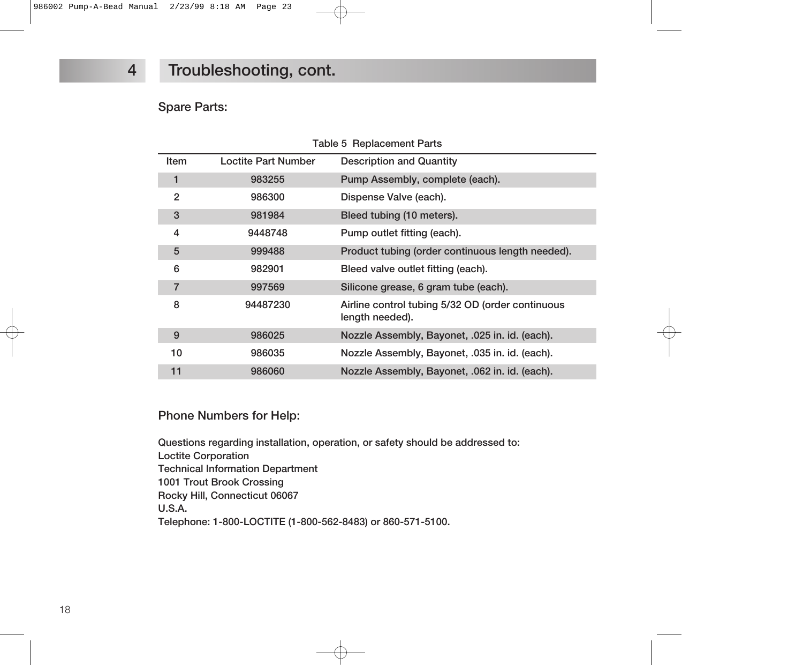### **4 Troubleshooting, cont.**

#### **Spare Parts:**

| Table 5 Replacement Parts |                     |                                                                     |  |  |
|---------------------------|---------------------|---------------------------------------------------------------------|--|--|
| Item                      | Loctite Part Number | <b>Description and Quantity</b>                                     |  |  |
| 1                         | 983255              | Pump Assembly, complete (each).                                     |  |  |
| $\overline{2}$            | 986300              | Dispense Valve (each).                                              |  |  |
| 3                         | 981984              | Bleed tubing (10 meters).                                           |  |  |
| 4                         | 9448748             | Pump outlet fitting (each).                                         |  |  |
| 5                         | 999488              | Product tubing (order continuous length needed).                    |  |  |
| 6                         | 982901              | Bleed valve outlet fitting (each).                                  |  |  |
| $\overline{7}$            | 997569              | Silicone grease, 6 gram tube (each).                                |  |  |
| 8                         | 94487230            | Airline control tubing 5/32 OD (order continuous<br>length needed). |  |  |
| 9                         | 986025              | Nozzle Assembly, Bayonet, .025 in. id. (each).                      |  |  |
| 10                        | 986035              | Nozzle Assembly, Bayonet, .035 in. id. (each).                      |  |  |
| 11                        | 986060              | Nozzle Assembly, Bayonet, .062 in. id. (each).                      |  |  |

#### **Phone Numbers for Help:**

**Questions regarding installation, operation, or safety should be addressed to: Loctite Corporation Technical Information Department 1001 Trout Brook Crossing Rocky Hill, Connecticut 06067 U.S.A. Telephone: 1-800-LOCTITE (1-800-562-8483) or 860-571-5100.**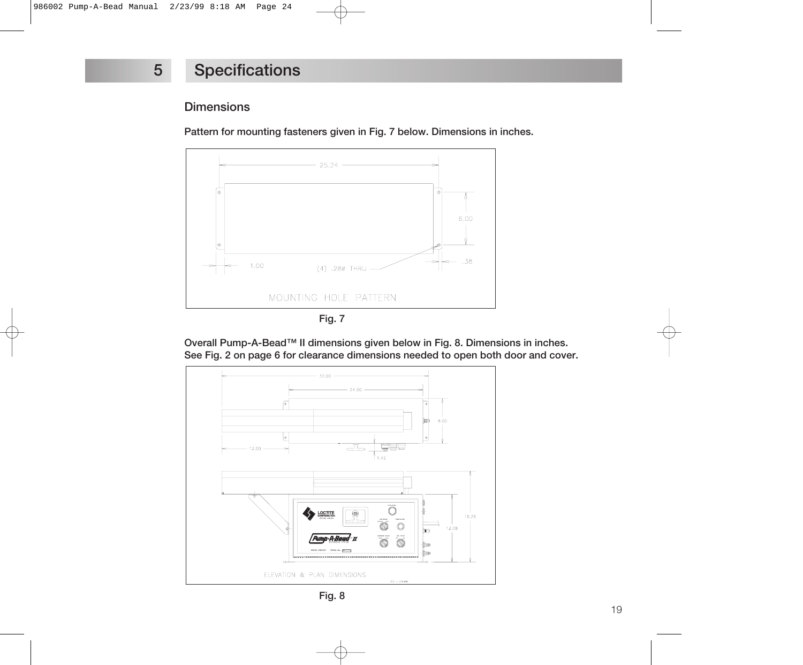#### **Dimensions**

**Pattern for mounting fasteners given in Fig. 7 below. Dimensions in inches.**



**Overall Pump-A-Bead™ II dimensions given below in Fig. 8. Dimensions in inches. See Fig. 2 on page 6 for clearance dimensions needed to open both door and cover.**



**Fig. 8**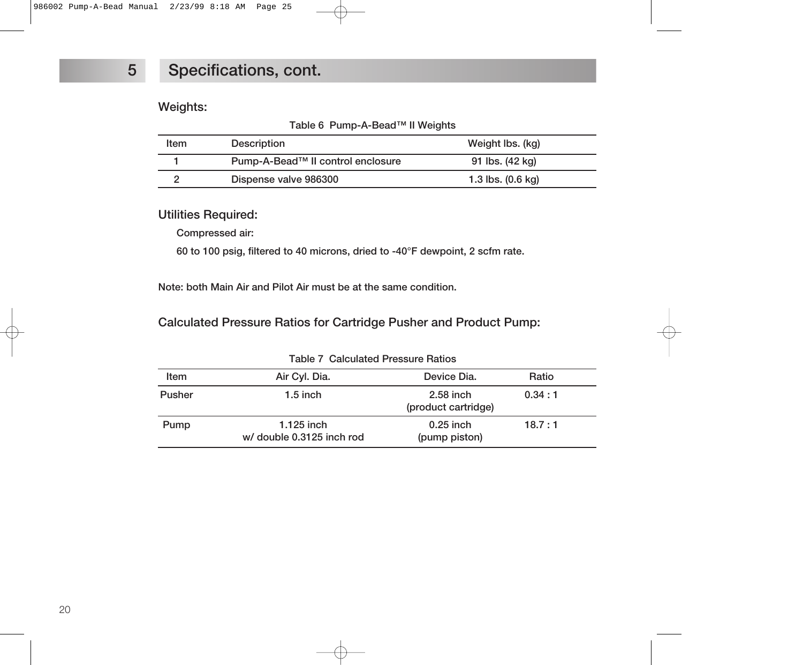#### **Weights:**

|  | Table 6 Pump-A-Bead™ II Weights |  |  |
|--|---------------------------------|--|--|
|--|---------------------------------|--|--|

| ltem. | Description                       | Weight Ibs. (kg)            |
|-------|-----------------------------------|-----------------------------|
|       | Pump-A-Bead™ II control enclosure | 91 lbs. (42 kg)             |
|       | Dispense valve 986300             | 1.3 lbs. $(0.6 \text{ kg})$ |

#### **Utilities Required:**

**Compressed air:**

**60 to 100 psig, filtered to 40 microns, dried to -40°F dewpoint, 2 scfm rate.**

**Note: both Main Air and Pilot Air must be at the same condition.**

#### **Calculated Pressure Ratios for Cartridge Pusher and Product Pump:**

| Table / Odiodiatou Ficssure Hatios |                                           |                                    |        |  |
|------------------------------------|-------------------------------------------|------------------------------------|--------|--|
| Item                               | Air Cyl. Dia.                             | Device Dia.                        | Ratio  |  |
| <b>Pusher</b>                      | $1.5$ inch                                | $2.58$ inch<br>(product cartridge) | 0.34:1 |  |
| Pump                               | $1.125$ inch<br>w/ double 0.3125 inch rod | $0.25$ inch<br>(pump piston)       | 18.7:1 |  |

**Table 7 Calculated Pressure Ratios**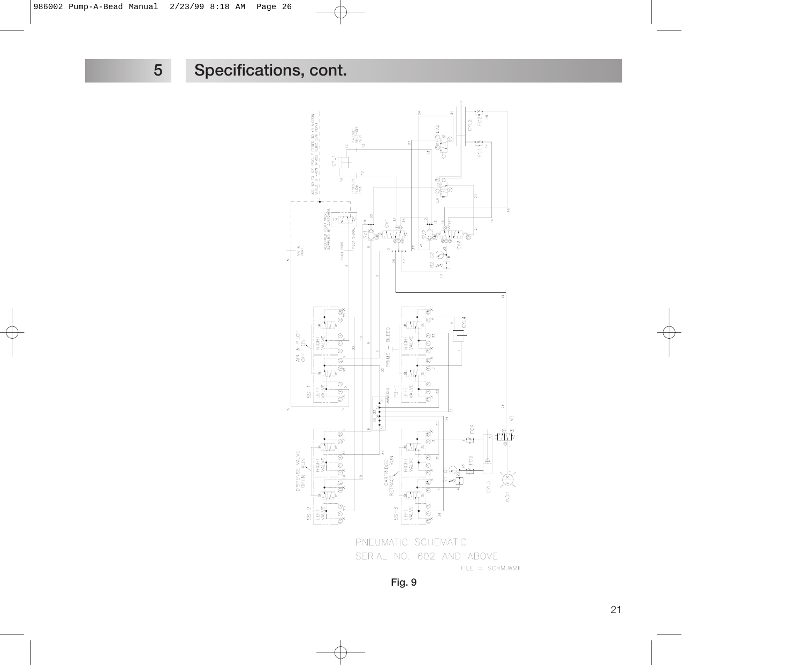

PNEUMATIC SCHEMATIC SERIAL NO. 602 AND ABOVE  $FILE = SCHM. WMF$ 

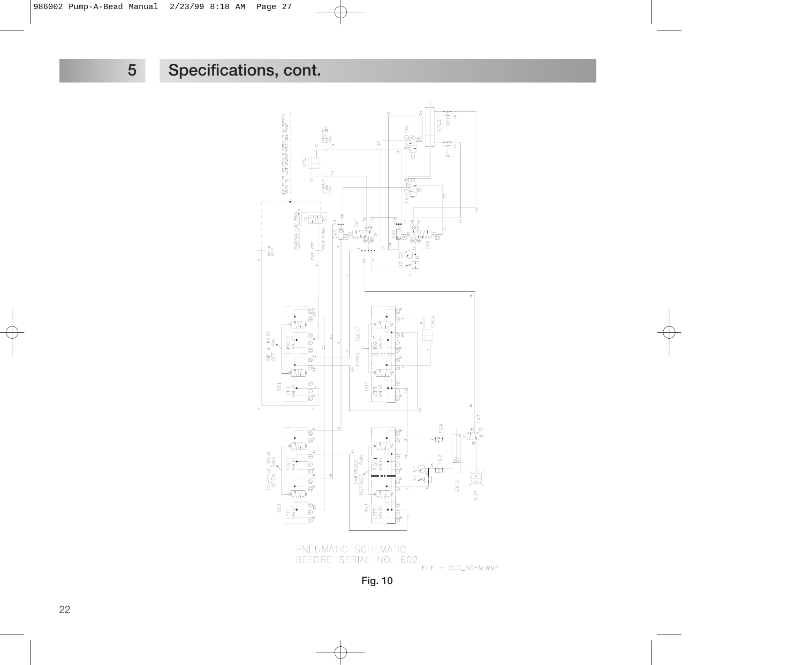



**Fig. 10**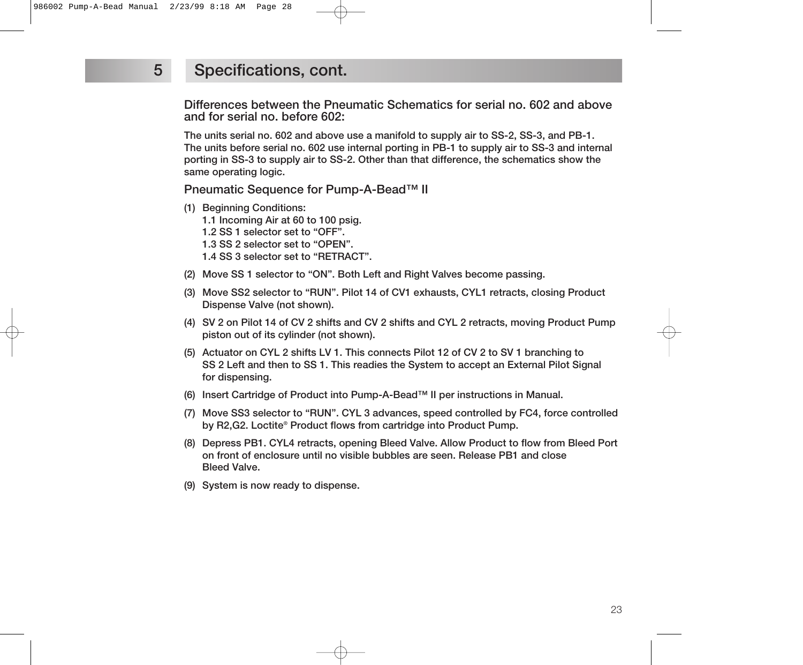**Differences between the Pneumatic Schematics for serial no. 602 and above and for serial no. before 602:**

**The units serial no. 602 and above use a manifold to supply air to SS-2, SS-3, and PB-1. The units before serial no. 602 use internal porting in PB-1 to supply air to SS-3 and internal porting in SS-3 to supply air to SS-2. Other than that difference, the schematics show the same operating logic.**

**Pneumatic Sequence for Pump-A-Bead™ II**

**(1) Beginning Conditions:**

**1.1 Incoming Air at 60 to 100 psig.**

**1.2 SS 1 selector set to "OFF".**

**1.3 SS 2 selector set to "OPEN".**

- **1.4 SS 3 selector set to "RETRACT".**
- **(2) Move SS 1 selector to "ON". Both Left and Right Valves become passing.**
- **(3) Move SS2 selector to "RUN". Pilot 14 of CV1 exhausts, CYL1 retracts, closing Product Dispense Valve (not shown).**
- **(4) SV 2 on Pilot 14 of CV 2 shifts and CV 2 shifts and CYL 2 retracts, moving Product Pump piston out of its cylinder (not shown).**
- **(5) Actuator on CYL 2 shifts LV 1. This connects Pilot 12 of CV 2 to SV 1 branching to SS 2 Left and then to SS 1. This readies the System to accept an External Pilot Signal for dispensing.**
- **(6) Insert Cartridge of Product into Pump-A-Bead™ II per instructions in Manual.**
- **(7) Move SS3 selector to "RUN". CYL 3 advances, speed controlled by FC4, force controlled by R2,G2. Loctite® Product flows from cartridge into Product Pump.**
- **(8) Depress PB1. CYL4 retracts, opening Bleed Valve. Allow Product to flow from Bleed Port on front of enclosure until no visible bubbles are seen. Release PB1 and close Bleed Valve.**
- **(9) System is now ready to dispense.**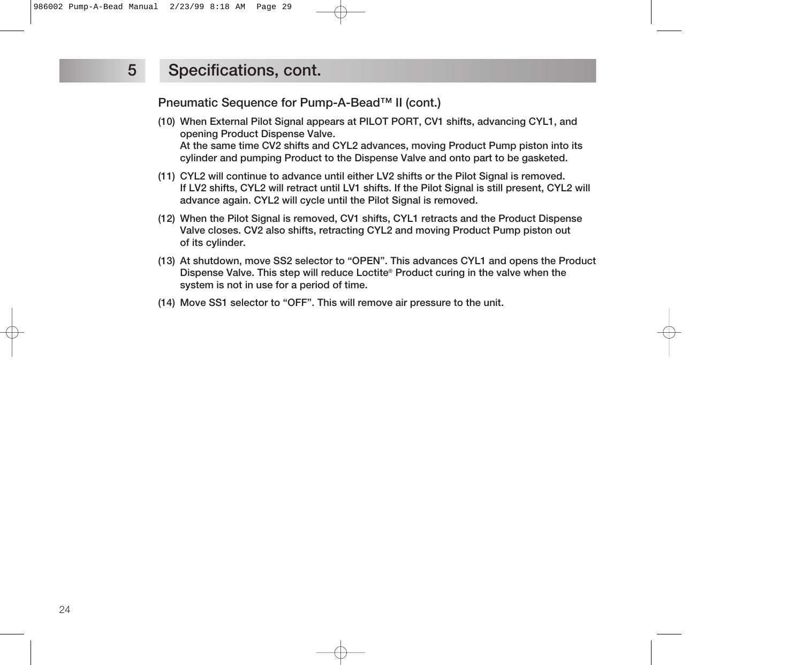**Pneumatic Sequence for Pump-A-Bead™ II (cont.)**

- **(10) When External Pilot Signal appears at PILOT PORT, CV1 shifts, advancing CYL1, and opening Product Dispense Valve. At the same time CV2 shifts and CYL2 advances, moving Product Pump piston into its cylinder and pumping Product to the Dispense Valve and onto part to be gasketed.**
- **(11) CYL2 will continue to advance until either LV2 shifts or the Pilot Signal is removed. If LV2 shifts, CYL2 will retract until LV1 shifts. If the Pilot Signal is still present, CYL2 will advance again. CYL2 will cycle until the Pilot Signal is removed.**
- **(12) When the Pilot Signal is removed, CV1 shifts, CYL1 retracts and the Product Dispense Valve closes. CV2 also shifts, retracting CYL2 and moving Product Pump piston out of its cylinder.**
- **(13) At shutdown, move SS2 selector to "OPEN". This advances CYL1 and opens the Product Dispense Valve. This step will reduce Loctite® Product curing in the valve when the system is not in use for a period of time.**
- **(14) Move SS1 selector to "OFF". This will remove air pressure to the unit.**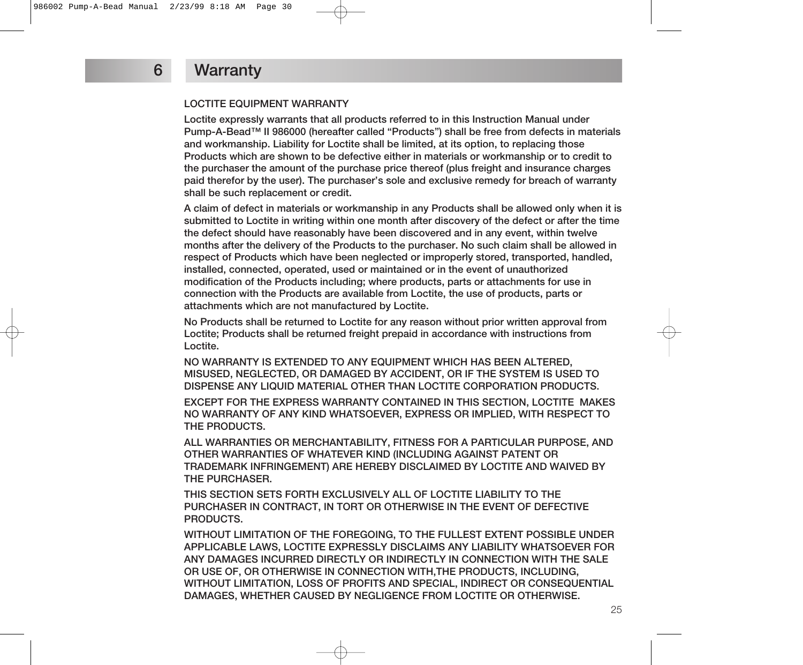#### **LOCTITE EQUIPMENT WARRANTY**

**Loctite expressly warrants that all products referred to in this Instruction Manual under Pump-A-Bead™ II 986000 (hereafter called "Products") shall be free from defects in materials and workmanship. Liability for Loctite shall be limited, at its option, to replacing those Products which are shown to be defective either in materials or workmanship or to credit to the purchaser the amount of the purchase price thereof (plus freight and insurance charges paid therefor by the user). The purchaser's sole and exclusive remedy for breach of warranty shall be such replacement or credit.**

**A claim of defect in materials or workmanship in any Products shall be allowed only when it is submitted to Loctite in writing within one month after discovery of the defect or after the time the defect should have reasonably have been discovered and in any event, within twelve months after the delivery of the Products to the purchaser. No such claim shall be allowed in respect of Products which have been neglected or improperly stored, transported, handled, installed, connected, operated, used or maintained or in the event of unauthorized modification of the Products including; where products, parts or attachments for use in connection with the Products are available from Loctite, the use of products, parts or attachments which are not manufactured by Loctite.**

**No Products shall be returned to Loctite for any reason without prior written approval from Loctite; Products shall be returned freight prepaid in accordance with instructions from Loctite.**

**NO WARRANTY IS EXTENDED TO ANY EQUIPMENT WHICH HAS BEEN ALTERED, MISUSED, NEGLECTED, OR DAMAGED BY ACCIDENT, OR IF THE SYSTEM IS USED TO DISPENSE ANY LIQUID MATERIAL OTHER THAN LOCTITE CORPORATION PRODUCTS.**

**EXCEPT FOR THE EXPRESS WARRANTY CONTAINED IN THIS SECTION, LOCTITE MAKES NO WARRANTY OF ANY KIND WHATSOEVER, EXPRESS OR IMPLIED, WITH RESPECT TO THE PRODUCTS.**

**ALL WARRANTIES OR MERCHANTABILITY, FITNESS FOR A PARTICULAR PURPOSE, AND OTHER WARRANTIES OF WHATEVER KIND (INCLUDING AGAINST PATENT OR TRADEMARK INFRINGEMENT) ARE HEREBY DISCLAIMED BY LOCTITE AND WAIVED BY THE PURCHASER.**

**THIS SECTION SETS FORTH EXCLUSIVELY ALL OF LOCTITE LIABILITY TO THE PURCHASER IN CONTRACT, IN TORT OR OTHERWISE IN THE EVENT OF DEFECTIVE PRODUCTS.**

**WITHOUT LIMITATION OF THE FOREGOING, TO THE FULLEST EXTENT POSSIBLE UNDER APPLICABLE LAWS, LOCTITE EXPRESSLY DISCLAIMS ANY LIABILITY WHATSOEVER FOR ANY DAMAGES INCURRED DIRECTLY OR INDIRECTLY IN CONNECTION WITH THE SALE OR USE OF, OR OTHERWISE IN CONNECTION WITH,THE PRODUCTS, INCLUDING, WITHOUT LIMITATION, LOSS OF PROFITS AND SPECIAL, INDIRECT OR CONSEQUENTIAL DAMAGES, WHETHER CAUSED BY NEGLIGENCE FROM LOCTITE OR OTHERWISE.**